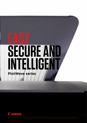## **EASY SECURE AND INTELLIGENT PlotWave series**

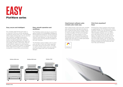



#### ClearConnect software suite: complex jobs made easy

With ClearConnect, even the most complex jobs and document sets become easy to print. Drag and drop files for great results. Accurate, live print previews enable users to check the effect of their print settings immediately. This gives peace of mind and avoids costly, time-wasting misprints. Standardise your workflow and efficiently repeat jobs with easy-to-create specialised media and scan templates.



#### Print from anywhere? Easy!

## **EASY PlotWave series**

Printing from many locations and sources is supported by the PlotWave series. With Publisher Mobile, you can preview and print files from your mobile phone or tablet. With Publisher Express, you can submit print files directly from the web. Driver Select, the large format printer driver for Windows reduces errors and gives you first-time-right results, with its clear and easy-to-use functionalities, and the Driver Express enables printing PostScript files from Mac and Windows.



#### Easy, secure and intelligent

For complex large format print jobs, it is important that your printer produces impressive results every time. The PlotWave series makes printing easy with its intuitive user interface. Intelligent automation utilises the power under the hood and tunes it to high performance. Top-notch security features safeguard your data, not only today, but also in the future. With its small footprint, ergonomic construction and clean, closed toner system, a PlotWave series large format printer is an excellent companion in busy office environments.

#### Easy, smooth operation and workflows

The PlotWave series are easy to use at first glance thanks to its embedded intelligence and exceptional simplicity. Access and print your latest revisions from your home folder, cloud or local network, or use the intuitive copying and scanning features available on the user interface.

The PlotWave series enables users to print only the files in their own inbox, essential for project group environments. Virtually no warm-up time means users can quickly print and collect their own confidential designs.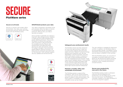#### Secure on all levels

Security is critical in the modern office environment. Your data, your working environment and your results are in safe hands with the PlotWave series.

#### SMARTshield protects your data

Your data is protected in all phases of the print process. When the data is in transit, it is protected by secure, encrypted protocols. When at rest, your data is securely encrypted.

Since a printer is generally not used as a long-term data storage solution, deletion is made secure by data shredding and proper deleting protocols. There is also the option to remove the hard disk when the printer is decommissioned, for complete security. Robust user authentication provides document security for users and activity control for budget managers. Hack prevention guards against malicious intrusion. All these security measures have been built for the long term: with software support, security updates and remote service.











#### Safeguard your professional results

The PlotWave Series has been designed for first-time-right printing. It helps you to avoid costly misprints and save time, paper and toner. Radiant Fusing technology prevents print resolution loss, dot size degradation, and line fuzziness, since the toner melts exactly where it is placed on the media. Achieve professional results with the integrated Scanner Express: Image Logic boosts readable details in the scanned file by reducing creases and paper folds in the scanned original. Boost scanning performance even further with the standalone high-volume Scanner Professional.

### **SECURE PlotWave series**

#### Maintain a healthy office and sustainable environment

The PlotWave series is a good office companion. With its low ozone emissions, low noise levels and low heat emission, it is perfect to place in office environments. The toner system is completely closed, so no unhealthy fumes can be inhaled.

The user interface is rotatable for ergonomic

comfort. In addition, the PlotWave series is environmentally friendly. The Radiant Fusing technology ensures low power consumption, and the system is ENERGY STAR certified. With the PlotWave series, you can print on uncoated or recycled media, and it even allows for de-inking prints before recycling. The printer can be re-manufactured and reused by Canon, thereby promoting a circular economy.

#### Secure your productivity, now and in the future

The PlotWave series is built to withstand intensive use and safeguard your productivity, not just today, but for a long time into the future. The POWERsync controller is based on the latest Windows 10 IoT OS, for long-term support.



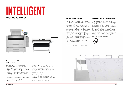# **INTELLIGENT**

#### Smart functionalities that optimise your process

The PlotWave series has intelligent automation that makes life easier in many ways. With automatic roll width detection and easy paper feeding, media loading couldn't be easier. Automatic roll switching quickly changes between media rolls and positions the image in the correct place.

Pico Printing automatically includes extra dots for impressive image quality. Radiant Fusing optimally adjusts

the temperature of the system to suit the media. Radiant Fusing technology transports the paper with its toner deposit through the fusing unit, emitting the optimum amount of heat in the shortest time possible.

No need to prioritise functionalities. Printing a complex job? Scan or copy documents at the same time. POWERsync enables concurrent operations without sacrificing productivity or quality.



#### Neat document delivery

The PlotWave series saves time with its neat document delivery options. Depending on your needs, you can easily collect your prints either from the top delivery tray or Stacker Select. The top delivery tray is positioned at an ergonomic height, and plots are neatly collated and stacked in the tray. The Folder Express 3011\* saves office and desk space thanks to its compact design and accurate, tightly folded prints. The Folder Professional 6011 and 6013\*\* offer diverse folding options, including offline folding and reinforcement. For extra stacking capacity, choose the Stacker Select, which is capable of stacking up to 400, 42-inch-wide sheets.

#### Consistent and highly productive

With virtually no warm-up time, the PlotWave series saves time and cuts energy costs. From sleep mode to print in hand in just 40 seconds. In addition, it reaches print speeds of up to 10 A1 or D-size prints per minute, or up to 360 sheets per hour, unattended. Up to 6-roll media capacity provides the application range to print a variety of jobs in-house. This includes FSC paper, recycled paper and many other media types. The sheet feeder offers up to 250 sheets media capacity.



#### **PlotWave series**





\*/\*\* the Folder Express and Folder Professional are exclusively available for the PlotWave 5000 series and PlotWave 7500